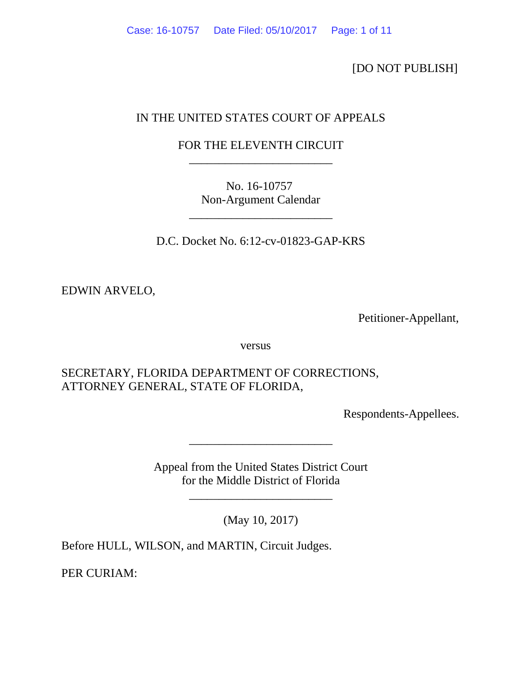[DO NOT PUBLISH]

# IN THE UNITED STATES COURT OF APPEALS

# FOR THE ELEVENTH CIRCUIT \_\_\_\_\_\_\_\_\_\_\_\_\_\_\_\_\_\_\_\_\_\_\_\_

No. 16-10757 Non-Argument Calendar

D.C. Docket No. 6:12-cv-01823-GAP-KRS

\_\_\_\_\_\_\_\_\_\_\_\_\_\_\_\_\_\_\_\_\_\_\_\_

EDWIN ARVELO,

Petitioner-Appellant,

versus

SECRETARY, FLORIDA DEPARTMENT OF CORRECTIONS, ATTORNEY GENERAL, STATE OF FLORIDA,

Respondents-Appellees.

Appeal from the United States District Court for the Middle District of Florida

\_\_\_\_\_\_\_\_\_\_\_\_\_\_\_\_\_\_\_\_\_\_\_\_

\_\_\_\_\_\_\_\_\_\_\_\_\_\_\_\_\_\_\_\_\_\_\_\_

(May 10, 2017)

Before HULL, WILSON, and MARTIN, Circuit Judges.

PER CURIAM: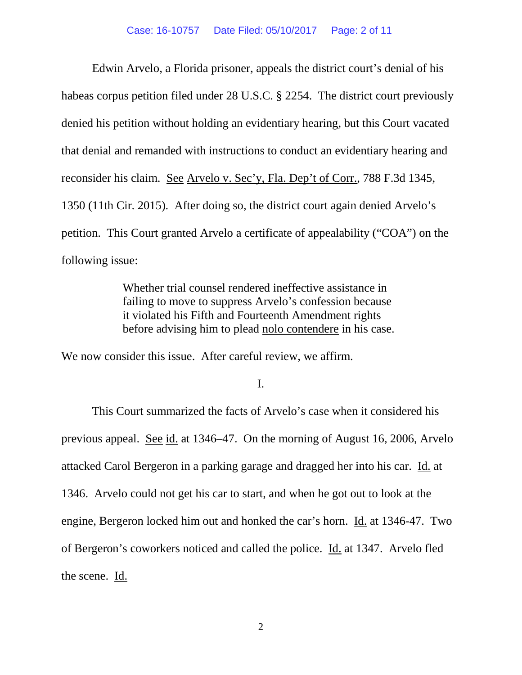Edwin Arvelo, a Florida prisoner, appeals the district court's denial of his habeas corpus petition filed under 28 U.S.C. § 2254. The district court previously denied his petition without holding an evidentiary hearing, but this Court vacated that denial and remanded with instructions to conduct an evidentiary hearing and reconsider his claim. See Arvelo v. Sec'y, Fla. Dep't of Corr., 788 F.3d 1345, 1350 (11th Cir. 2015). After doing so, the district court again denied Arvelo's petition. This Court granted Arvelo a certificate of appealability ("COA") on the following issue:

> Whether trial counsel rendered ineffective assistance in failing to move to suppress Arvelo's confession because it violated his Fifth and Fourteenth Amendment rights before advising him to plead nolo contendere in his case.

We now consider this issue. After careful review, we affirm.

I.

This Court summarized the facts of Arvelo's case when it considered his previous appeal. See id. at 1346–47. On the morning of August 16, 2006, Arvelo attacked Carol Bergeron in a parking garage and dragged her into his car. Id. at 1346. Arvelo could not get his car to start, and when he got out to look at the engine, Bergeron locked him out and honked the car's horn. Id. at 1346-47. Two of Bergeron's coworkers noticed and called the police. Id. at 1347. Arvelo fled the scene. Id.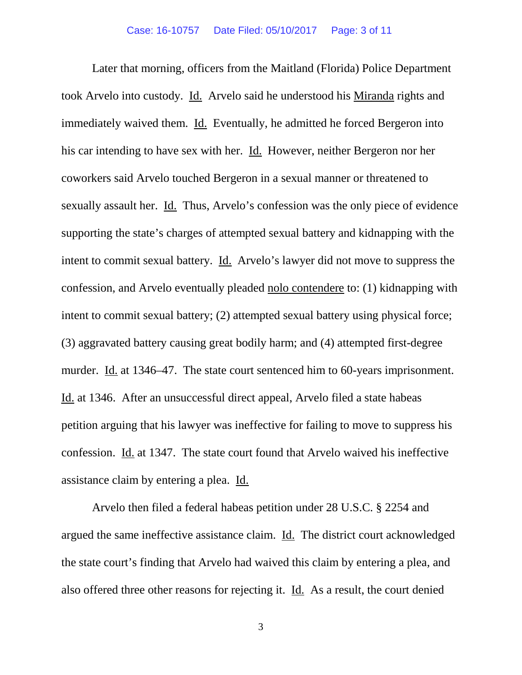Later that morning, officers from the Maitland (Florida) Police Department took Arvelo into custody. Id. Arvelo said he understood his Miranda rights and immediately waived them. Id. Eventually, he admitted he forced Bergeron into his car intending to have sex with her. Id. However, neither Bergeron nor her coworkers said Arvelo touched Bergeron in a sexual manner or threatened to sexually assault her. Id. Thus, Arvelo's confession was the only piece of evidence supporting the state's charges of attempted sexual battery and kidnapping with the intent to commit sexual battery. Id. Arvelo's lawyer did not move to suppress the confession, and Arvelo eventually pleaded nolo contendere to: (1) kidnapping with intent to commit sexual battery; (2) attempted sexual battery using physical force; (3) aggravated battery causing great bodily harm; and (4) attempted first-degree murder. Id. at 1346–47. The state court sentenced him to 60-years imprisonment. Id. at 1346. After an unsuccessful direct appeal, Arvelo filed a state habeas petition arguing that his lawyer was ineffective for failing to move to suppress his confession. Id. at 1347. The state court found that Arvelo waived his ineffective assistance claim by entering a plea. Id.

Arvelo then filed a federal habeas petition under 28 U.S.C. § 2254 and argued the same ineffective assistance claim. Id. The district court acknowledged the state court's finding that Arvelo had waived this claim by entering a plea, and also offered three other reasons for rejecting it. Id. As a result, the court denied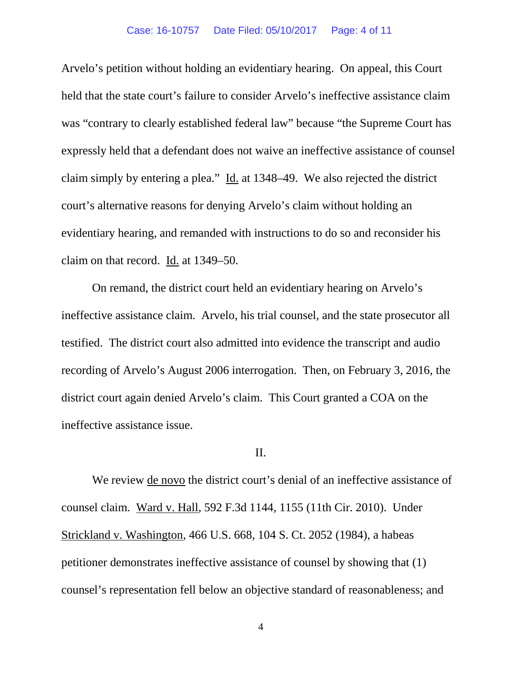Arvelo's petition without holding an evidentiary hearing. On appeal, this Court held that the state court's failure to consider Arvelo's ineffective assistance claim was "contrary to clearly established federal law" because "the Supreme Court has expressly held that a defendant does not waive an ineffective assistance of counsel claim simply by entering a plea." Id. at 1348–49. We also rejected the district court's alternative reasons for denying Arvelo's claim without holding an evidentiary hearing, and remanded with instructions to do so and reconsider his claim on that record. Id. at 1349–50.

On remand, the district court held an evidentiary hearing on Arvelo's ineffective assistance claim. Arvelo, his trial counsel, and the state prosecutor all testified. The district court also admitted into evidence the transcript and audio recording of Arvelo's August 2006 interrogation. Then, on February 3, 2016, the district court again denied Arvelo's claim. This Court granted a COA on the ineffective assistance issue.

### II.

We review de novo the district court's denial of an ineffective assistance of counsel claim. Ward v. Hall, 592 F.3d 1144, 1155 (11th Cir. 2010). Under Strickland v. Washington, 466 U.S. 668, 104 S. Ct. 2052 (1984), a habeas petitioner demonstrates ineffective assistance of counsel by showing that (1) counsel's representation fell below an objective standard of reasonableness; and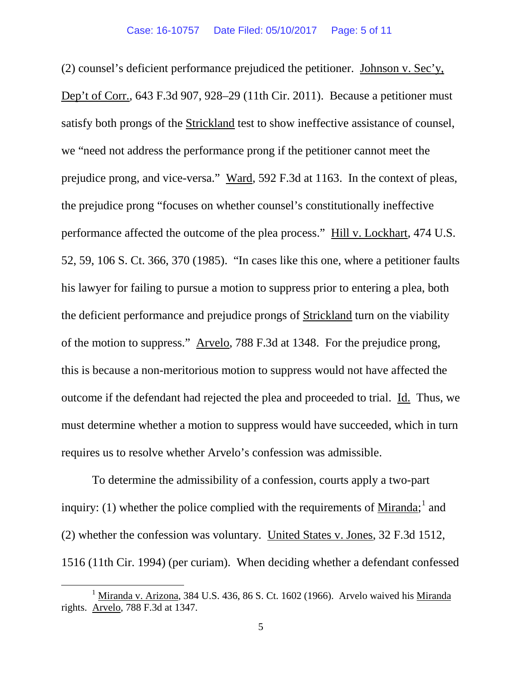(2) counsel's deficient performance prejudiced the petitioner. Johnson v. Sec'y, Dep't of Corr., 643 F.3d 907, 928–29 (11th Cir. 2011). Because a petitioner must satisfy both prongs of the Strickland test to show ineffective assistance of counsel, we "need not address the performance prong if the petitioner cannot meet the prejudice prong, and vice-versa." Ward, 592 F.3d at 1163. In the context of pleas, the prejudice prong "focuses on whether counsel's constitutionally ineffective performance affected the outcome of the plea process." Hill v. Lockhart, 474 U.S. 52, 59, 106 S. Ct. 366, 370 (1985). "In cases like this one, where a petitioner faults his lawyer for failing to pursue a motion to suppress prior to entering a plea, both the deficient performance and prejudice prongs of Strickland turn on the viability of the motion to suppress." Arvelo, 788 F.3d at 1348. For the prejudice prong, this is because a non-meritorious motion to suppress would not have affected the outcome if the defendant had rejected the plea and proceeded to trial. Id. Thus, we must determine whether a motion to suppress would have succeeded, which in turn requires us to resolve whether Arvelo's confession was admissible.

To determine the admissibility of a confession, courts apply a two-part inquiry: ([1](#page-4-0)) whether the police complied with the requirements of  $Miranda$ ; and</u> (2) whether the confession was voluntary. United States v. Jones, 32 F.3d 1512, 1516 (11th Cir. 1994) (per curiam). When deciding whether a defendant confessed

<span id="page-4-0"></span> $1$  Miranda v. Arizona, 384 U.S. 436, 86 S. Ct. 1602 (1966). Arvelo waived his Miranda rights. Arvelo, 788 F.3d at 1347.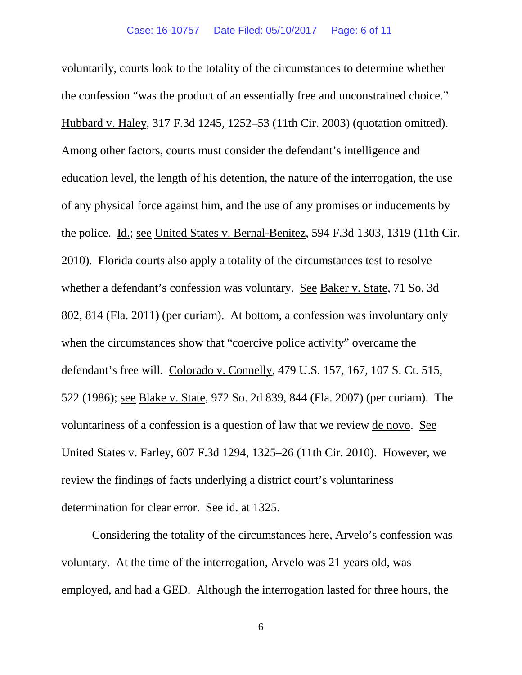voluntarily, courts look to the totality of the circumstances to determine whether the confession "was the product of an essentially free and unconstrained choice." Hubbard v. Haley, 317 F.3d 1245, 1252–53 (11th Cir. 2003) (quotation omitted). Among other factors, courts must consider the defendant's intelligence and education level, the length of his detention, the nature of the interrogation, the use of any physical force against him, and the use of any promises or inducements by the police. Id.; see United States v. Bernal-Benitez, 594 F.3d 1303, 1319 (11th Cir. 2010).Florida courts also apply a totality of the circumstances test to resolve whether a defendant's confession was voluntary. See Baker v. State, 71 So. 3d 802, 814 (Fla. 2011) (per curiam). At bottom, a confession was involuntary only when the circumstances show that "coercive police activity" overcame the defendant's free will. Colorado v. Connelly, 479 U.S. 157, 167, 107 S. Ct. 515, 522 (1986); see Blake v. State, 972 So. 2d 839, 844 (Fla. 2007) (per curiam). The voluntariness of a confession is a question of law that we review de novo. See United States v. Farley, 607 F.3d 1294, 1325–26 (11th Cir. 2010). However, we review the findings of facts underlying a district court's voluntariness determination for clear error. See id. at 1325.

Considering the totality of the circumstances here, Arvelo's confession was voluntary. At the time of the interrogation, Arvelo was 21 years old, was employed, and had a GED. Although the interrogation lasted for three hours, the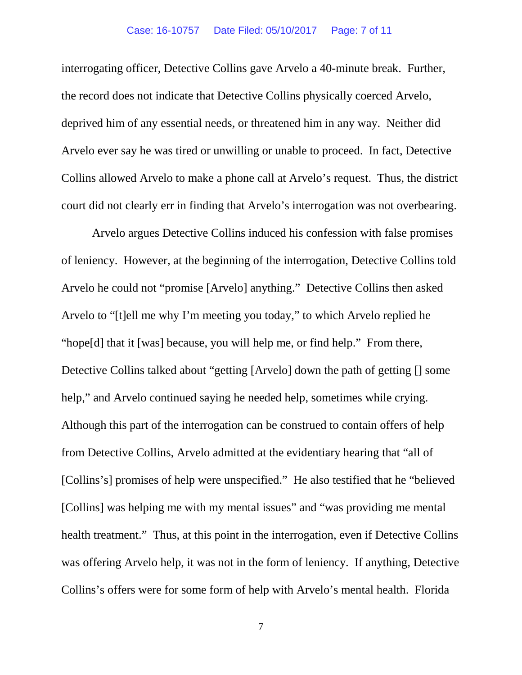interrogating officer, Detective Collins gave Arvelo a 40-minute break. Further, the record does not indicate that Detective Collins physically coerced Arvelo, deprived him of any essential needs, or threatened him in any way. Neither did Arvelo ever say he was tired or unwilling or unable to proceed. In fact, Detective Collins allowed Arvelo to make a phone call at Arvelo's request. Thus, the district court did not clearly err in finding that Arvelo's interrogation was not overbearing.

Arvelo argues Detective Collins induced his confession with false promises of leniency. However, at the beginning of the interrogation, Detective Collins told Arvelo he could not "promise [Arvelo] anything." Detective Collins then asked Arvelo to "[t]ell me why I'm meeting you today," to which Arvelo replied he "hope[d] that it [was] because, you will help me, or find help." From there, Detective Collins talked about "getting [Arvelo] down the path of getting [] some help," and Arvelo continued saying he needed help, sometimes while crying. Although this part of the interrogation can be construed to contain offers of help from Detective Collins, Arvelo admitted at the evidentiary hearing that "all of [Collins's] promises of help were unspecified." He also testified that he "believed [Collins] was helping me with my mental issues" and "was providing me mental health treatment." Thus, at this point in the interrogation, even if Detective Collins was offering Arvelo help, it was not in the form of leniency. If anything, Detective Collins's offers were for some form of help with Arvelo's mental health. Florida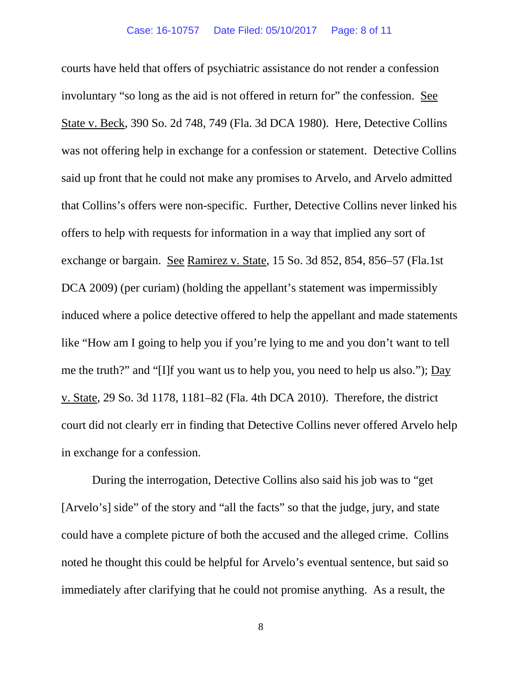courts have held that offers of psychiatric assistance do not render a confession involuntary "so long as the aid is not offered in return for" the confession. See State v. Beck, 390 So. 2d 748, 749 (Fla. 3d DCA 1980). Here, Detective Collins was not offering help in exchange for a confession or statement. Detective Collins said up front that he could not make any promises to Arvelo, and Arvelo admitted that Collins's offers were non-specific. Further, Detective Collins never linked his offers to help with requests for information in a way that implied any sort of exchange or bargain. See Ramirez v. State, 15 So. 3d 852, 854, 856–57 (Fla.1st DCA 2009) (per curiam) (holding the appellant's statement was impermissibly induced where a police detective offered to help the appellant and made statements like "How am I going to help you if you're lying to me and you don't want to tell me the truth?" and "[I]f you want us to help you, you need to help us also."); Day v. State, 29 So. 3d 1178, 1181–82 (Fla. 4th DCA 2010). Therefore, the district court did not clearly err in finding that Detective Collins never offered Arvelo help in exchange for a confession.

During the interrogation, Detective Collins also said his job was to "get [Arvelo's] side" of the story and "all the facts" so that the judge, jury, and state could have a complete picture of both the accused and the alleged crime. Collins noted he thought this could be helpful for Arvelo's eventual sentence, but said so immediately after clarifying that he could not promise anything. As a result, the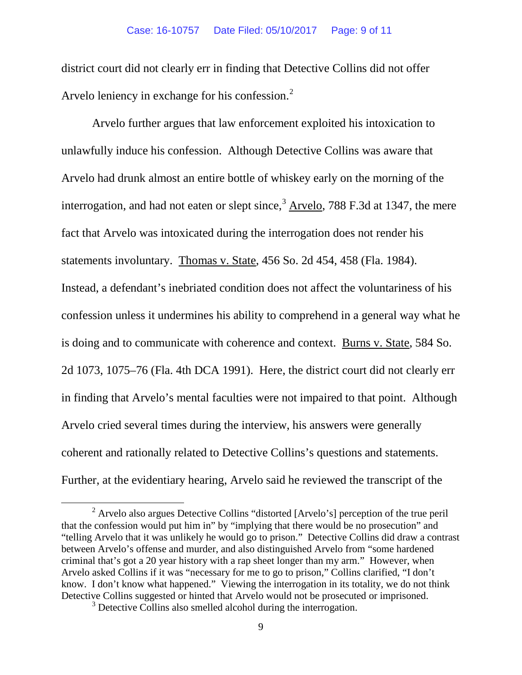district court did not clearly err in finding that Detective Collins did not offer Arvelo leniency in exchange for his confession. $<sup>2</sup>$  $<sup>2</sup>$  $<sup>2</sup>$ </sup>

Arvelo further argues that law enforcement exploited his intoxication to unlawfully induce his confession. Although Detective Collins was aware that Arvelo had drunk almost an entire bottle of whiskey early on the morning of the interrogation, and had not eaten or slept since, $3$  Arvelo, 788 F.3d at 1347, the mere fact that Arvelo was intoxicated during the interrogation does not render his statements involuntary. Thomas v. State, 456 So. 2d 454, 458 (Fla. 1984). Instead, a defendant's inebriated condition does not affect the voluntariness of his confession unless it undermines his ability to comprehend in a general way what he is doing and to communicate with coherence and context. Burns v. State, 584 So. 2d 1073, 1075–76 (Fla. 4th DCA 1991). Here, the district court did not clearly err in finding that Arvelo's mental faculties were not impaired to that point. Although Arvelo cried several times during the interview, his answers were generally coherent and rationally related to Detective Collins's questions and statements. Further, at the evidentiary hearing, Arvelo said he reviewed the transcript of the

<span id="page-8-0"></span> <sup>2</sup> Arvelo also argues Detective Collins "distorted [Arvelo's] perception of the true peril that the confession would put him in" by "implying that there would be no prosecution" and "telling Arvelo that it was unlikely he would go to prison." Detective Collins did draw a contrast between Arvelo's offense and murder, and also distinguished Arvelo from "some hardened criminal that's got a 20 year history with a rap sheet longer than my arm." However, when Arvelo asked Collins if it was "necessary for me to go to prison," Collins clarified, "I don't know. I don't know what happened." Viewing the interrogation in its totality, we do not think Detective Collins suggested or hinted that Arvelo would not be prosecuted or imprisoned. 3 Detective Collins also smelled alcohol during the interrogation.

<span id="page-8-1"></span>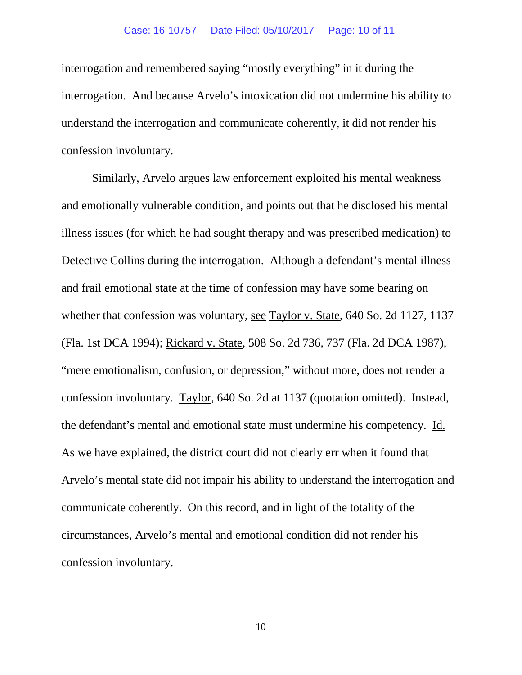#### Case: 16-10757 Date Filed: 05/10/2017 Page: 10 of 11

interrogation and remembered saying "mostly everything" in it during the interrogation. And because Arvelo's intoxication did not undermine his ability to understand the interrogation and communicate coherently, it did not render his confession involuntary.

Similarly, Arvelo argues law enforcement exploited his mental weakness and emotionally vulnerable condition, and points out that he disclosed his mental illness issues (for which he had sought therapy and was prescribed medication) to Detective Collins during the interrogation. Although a defendant's mental illness and frail emotional state at the time of confession may have some bearing on whether that confession was voluntary, see Taylor v. State, 640 So. 2d 1127, 1137 (Fla. 1st DCA 1994); Rickard v. State, 508 So. 2d 736, 737 (Fla. 2d DCA 1987), "mere emotionalism, confusion, or depression," without more, does not render a confession involuntary. Taylor, 640 So. 2d at 1137 (quotation omitted). Instead, the defendant's mental and emotional state must undermine his competency. Id. As we have explained, the district court did not clearly err when it found that Arvelo's mental state did not impair his ability to understand the interrogation and communicate coherently. On this record, and in light of the totality of the circumstances, Arvelo's mental and emotional condition did not render his confession involuntary.